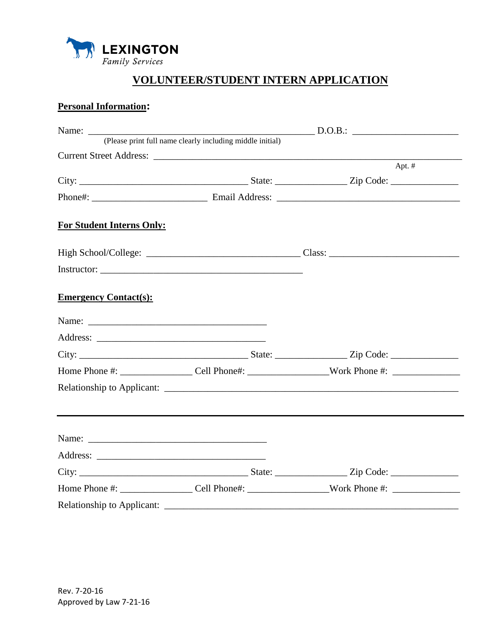

## **VOLUNTEER/STUDENT INTERN APPLICATION**

## **Personal Information:**

|                                  | (Please print full name clearly including middle initial) |                                                                                                      |  |
|----------------------------------|-----------------------------------------------------------|------------------------------------------------------------------------------------------------------|--|
|                                  |                                                           |                                                                                                      |  |
|                                  |                                                           | Apt. $#$                                                                                             |  |
|                                  |                                                           |                                                                                                      |  |
|                                  |                                                           |                                                                                                      |  |
| <b>For Student Interns Only:</b> |                                                           |                                                                                                      |  |
|                                  |                                                           |                                                                                                      |  |
|                                  |                                                           |                                                                                                      |  |
| <b>Emergency Contact(s):</b>     |                                                           |                                                                                                      |  |
|                                  |                                                           |                                                                                                      |  |
|                                  |                                                           |                                                                                                      |  |
|                                  |                                                           |                                                                                                      |  |
|                                  |                                                           |                                                                                                      |  |
|                                  |                                                           |                                                                                                      |  |
|                                  |                                                           |                                                                                                      |  |
|                                  |                                                           |                                                                                                      |  |
|                                  |                                                           |                                                                                                      |  |
|                                  |                                                           |                                                                                                      |  |
|                                  |                                                           | Home Phone #: ______________________Cell Phone#: ______________________Work Phone #: _______________ |  |
| Relationship to Applicant:       |                                                           |                                                                                                      |  |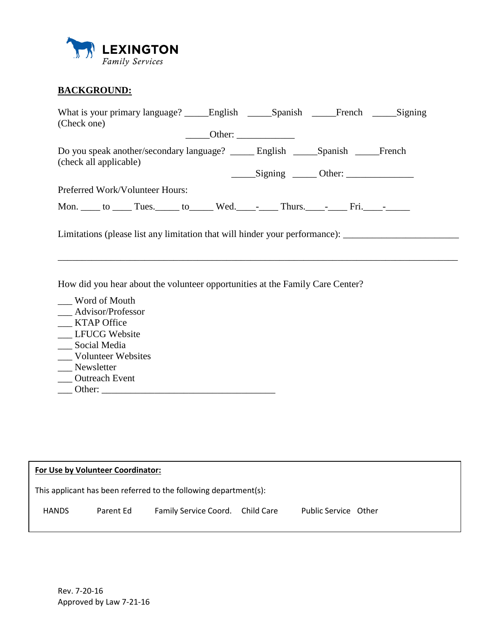

## **BACKGROUND:**

| (Check one)            |                                 |  |                                                                                            |  |  |
|------------------------|---------------------------------|--|--------------------------------------------------------------------------------------------|--|--|
|                        |                                 |  | Other: $\frac{1}{\sqrt{1-\frac{1}{2}}\cdot\frac{1}{2}}$                                    |  |  |
| (check all applicable) |                                 |  | Do you speak another/secondary language? _______ English ______Spanish ______French        |  |  |
|                        |                                 |  | $\frac{\text{Signing}}{\text{Other:}}$                                                     |  |  |
|                        | Preferred Work/Volunteer Hours: |  |                                                                                            |  |  |
|                        |                                 |  | Mon. ____ to _____ Tues. _____ to ______ Wed. _____- _____ Thurs. _____- _____ Fri. _____- |  |  |

\_\_\_\_\_\_\_\_\_\_\_\_\_\_\_\_\_\_\_\_\_\_\_\_\_\_\_\_\_\_\_\_\_\_\_\_\_\_\_\_\_\_\_\_\_\_\_\_\_\_\_\_\_\_\_\_\_\_\_\_\_\_\_\_\_\_\_\_\_\_\_\_\_\_\_\_\_\_\_\_\_\_\_

Limitations (please list any limitation that will hinder your performance): \_\_\_\_\_\_\_\_\_\_\_\_\_\_\_\_\_\_\_\_\_\_\_\_\_\_\_\_\_\_\_\_\_\_

How did you hear about the volunteer opportunities at the Family Care Center?

\_\_\_ Word of Mouth \_\_\_ Advisor/Professor \_\_\_ KTAP Office \_\_ LFUCG Website \_\_\_ Social Media \_\_\_ Volunteer Websites \_\_\_ Newsletter \_\_ Outreach Event \_\_\_ Other: \_\_\_\_\_\_\_\_\_\_\_\_\_\_\_\_\_\_\_\_\_\_\_\_\_\_\_\_\_\_\_\_\_\_\_\_

| For Use by Volunteer Coordinator: |           |                                                                  |  |                      |  |
|-----------------------------------|-----------|------------------------------------------------------------------|--|----------------------|--|
|                                   |           | This applicant has been referred to the following department(s): |  |                      |  |
| <b>HANDS</b>                      | Parent Ed | Family Service Coord. Child Care                                 |  | Public Service Other |  |